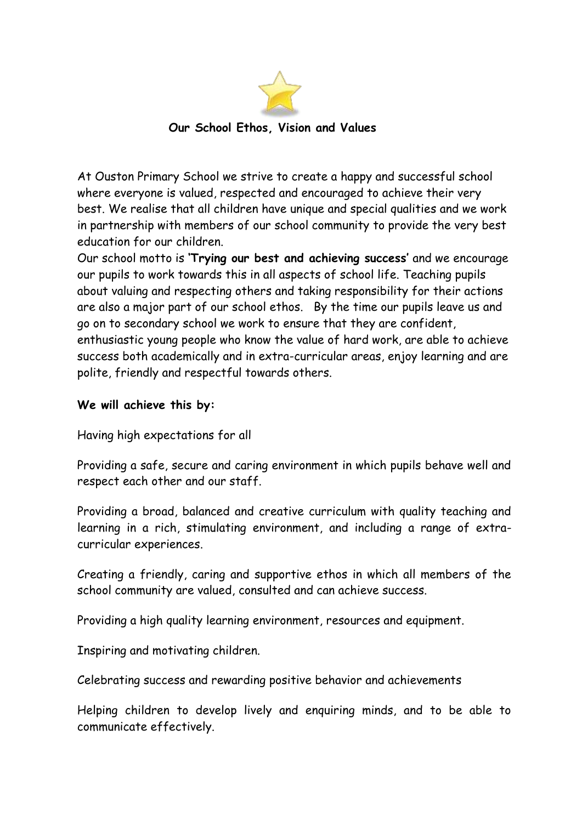

 **Our School Ethos, Vision and Values**

At Ouston Primary School we strive to create a happy and successful school where everyone is valued, respected and encouraged to achieve their very best. We realise that all children have unique and special qualities and we work in partnership with members of our school community to provide the very best education for our children.

Our school motto is **'Trying our best and achieving success'** and we encourage our pupils to work towards this in all aspects of school life. Teaching pupils about valuing and respecting others and taking responsibility for their actions are also a major part of our school ethos. By the time our pupils leave us and go on to secondary school we work to ensure that they are confident, enthusiastic young people who know the value of hard work, are able to achieve success both academically and in [extra-curricular areas,](http://www.oustonprimary.durham.sch.uk/forpupils/14878) enjoy learning and are polite, friendly and respectful towards others.

## **We will achieve this by:**

Having high expectations for all

Providing a safe, secure and caring environment in which pupils behave well and respect each other and our staff.

Providing a broad, balanced and creative curriculum with quality teaching and learning in a rich, stimulating environment, and including a range of extracurricular experiences.

Creating a friendly, caring and supportive ethos in which all members of the school community are valued, consulted and can achieve success.

Providing a high quality learning environment, resources and equipment.

Inspiring and motivating children.

Celebrating success and rewarding positive behavior and achievements

Helping children to develop lively and enquiring minds, and to be able to communicate effectively.